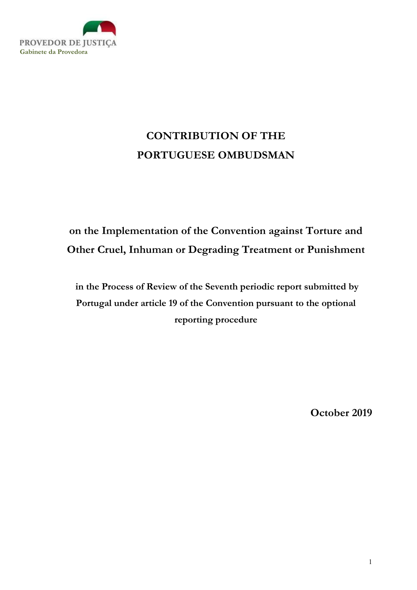

# CONTRIBUTION OF THE PORTUGUESE OMBUDSMAN

# on the Implementation of the Convention against Torture and Other Cruel, Inhuman or Degrading Treatment or Punishment

 in the Process of Review of the Seventh periodic report submitted by Portugal under article 19 of the Convention pursuant to the optional reporting procedure

October 2019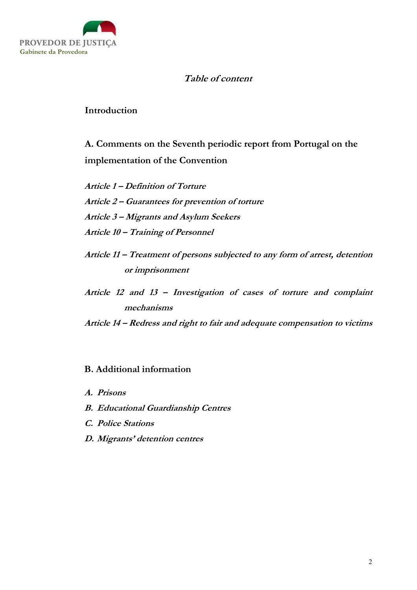

# Table of content

Introduction

A. Comments on the Seventh periodic report from Portugal on the implementation of the Convention

Article 1 – Definition of Torture Article 2 – Guarantees for prevention of torture Article 3 – Migrants and Asylum Seekers Article 10 – Training of Personnel

- Article 11 Treatment of persons subjected to any form of arrest, detention or imprisonment
- Article 12 and 13 Investigation of cases of torture and complaint mechanisms

Article 14 – Redress and right to fair and adequate compensation to victims

# B. Additional information

- A. Prisons
- B. Educational Guardianship Centres
- C. Police Stations
- D. Migrants' detention centres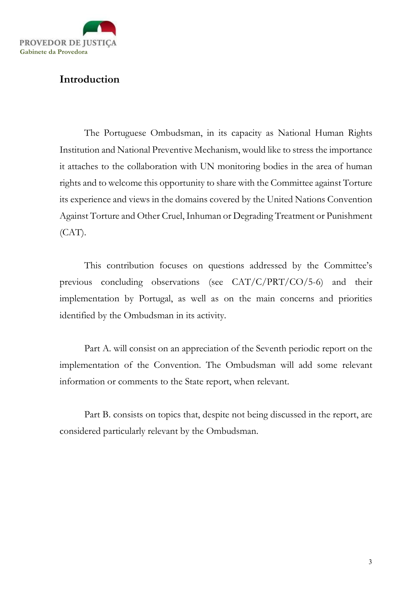

# Introduction

The Portuguese Ombudsman, in its capacity as National Human Rights Institution and National Preventive Mechanism, would like to stress the importance it attaches to the collaboration with UN monitoring bodies in the area of human rights and to welcome this opportunity to share with the Committee against Torture its experience and views in the domains covered by the United Nations Convention Against Torture and Other Cruel, Inhuman or Degrading Treatment or Punishment  $(CAT)$ .

This contribution focuses on questions addressed by the Committee's previous concluding observations (see CAT/C/PRT/CO/5-6) and their implementation by Portugal, as well as on the main concerns and priorities identified by the Ombudsman in its activity.

Part A. will consist on an appreciation of the Seventh periodic report on the implementation of the Convention. The Ombudsman will add some relevant information or comments to the State report, when relevant.

Part B. consists on topics that, despite not being discussed in the report, are considered particularly relevant by the Ombudsman.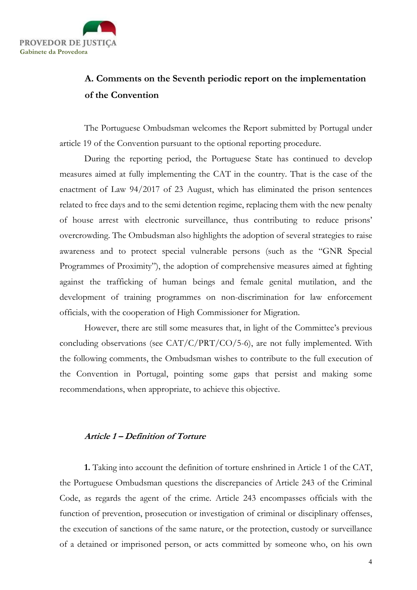

# A. Comments on the Seventh periodic report on the implementation of the Convention

The Portuguese Ombudsman welcomes the Report submitted by Portugal under article 19 of the Convention pursuant to the optional reporting procedure.

During the reporting period, the Portuguese State has continued to develop measures aimed at fully implementing the CAT in the country. That is the case of the enactment of Law 94/2017 of 23 August, which has eliminated the prison sentences related to free days and to the semi detention regime, replacing them with the new penalty of house arrest with electronic surveillance, thus contributing to reduce prisons' overcrowding. The Ombudsman also highlights the adoption of several strategies to raise awareness and to protect special vulnerable persons (such as the "GNR Special Programmes of Proximity"), the adoption of comprehensive measures aimed at fighting against the trafficking of human beings and female genital mutilation, and the development of training programmes on non-discrimination for law enforcement officials, with the cooperation of High Commissioner for Migration.

However, there are still some measures that, in light of the Committee's previous concluding observations (see CAT/C/PRT/CO/5-6), are not fully implemented. With the following comments, the Ombudsman wishes to contribute to the full execution of the Convention in Portugal, pointing some gaps that persist and making some recommendations, when appropriate, to achieve this objective.

### Article 1 – Definition of Torture

1. Taking into account the definition of torture enshrined in Article 1 of the CAT, the Portuguese Ombudsman questions the discrepancies of Article 243 of the Criminal Code, as regards the agent of the crime. Article 243 encompasses officials with the function of prevention, prosecution or investigation of criminal or disciplinary offenses, the execution of sanctions of the same nature, or the protection, custody or surveillance of a detained or imprisoned person, or acts committed by someone who, on his own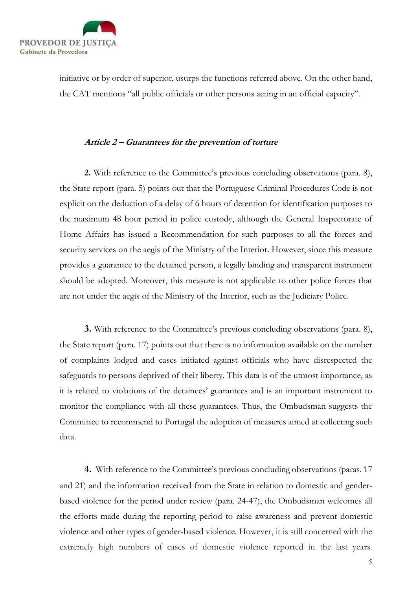

initiative or by order of superior, usurps the functions referred above. On the other hand, the CAT mentions "all public officials or other persons acting in an official capacity".

## Article 2 – Guarantees for the prevention of torture

2. With reference to the Committee's previous concluding observations (para. 8), the State report (para. 5) points out that the Portuguese Criminal Procedures Code is not explicit on the deduction of a delay of 6 hours of detention for identification purposes to the maximum 48 hour period in police custody, although the General Inspectorate of Home Affairs has issued a Recommendation for such purposes to all the forces and security services on the aegis of the Ministry of the Interior. However, since this measure provides a guarantee to the detained person, a legally binding and transparent instrument should be adopted. Moreover, this measure is not applicable to other police forces that are not under the aegis of the Ministry of the Interior, such as the Judiciary Police.

3. With reference to the Committee's previous concluding observations (para. 8), the State report (para. 17) points out that there is no information available on the number of complaints lodged and cases initiated against officials who have disrespected the safeguards to persons deprived of their liberty. This data is of the utmost importance, as it is related to violations of the detainees' guarantees and is an important instrument to monitor the compliance with all these guarantees. Thus, the Ombudsman suggests the Committee to recommend to Portugal the adoption of measures aimed at collecting such data.

4. With reference to the Committee's previous concluding observations (paras. 17 and 21) and the information received from the State in relation to domestic and genderbased violence for the period under review (para. 24-47), the Ombudsman welcomes all the efforts made during the reporting period to raise awareness and prevent domestic violence and other types of gender-based violence. However, it is still concerned with the extremely high numbers of cases of domestic violence reported in the last years.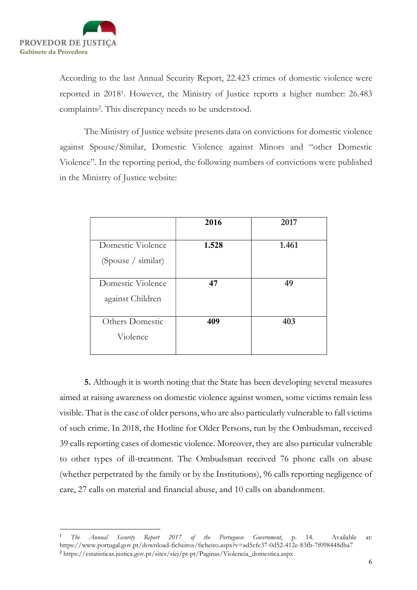

According to the last Annual Security Report, 22.423 crimes of domestic violence were reported in 2018<sup>1</sup> . However, the Ministry of Justice reports a higher number: 26.483 complaints<sup>2</sup> . This discrepancy needs to be understood.

The Ministry of Justice website presents data on convictions for domestic violence against Spouse/Similar, Domestic Violence against Minors and "other Domestic Violence". In the reporting period, the following numbers of convictions were published in the Ministry of Justice website:

|                    | 2016  | 2017  |
|--------------------|-------|-------|
| Domestic Violence  | 1.528 | 1.461 |
| (Spouse / similar) |       |       |
| Domestic Violence  | 47    | 49    |
| against Children   |       |       |
| Others Domestic    | 409   | 403   |
| Violence           |       |       |

5. Although it is worth noting that the State has been developing several measures aimed at raising awareness on domestic violence against women, some victims remain less visible. That is the case of older persons, who are also particularly vulnerable to fall victims of such crime. In 2018, the Hotline for Older Persons, run by the Ombudsman, received 39 calls reporting cases of domestic violence. Moreover, they are also particular vulnerable to other types of ill-treatment. The Ombudsman received 76 phone calls on abuse (whether perpetrated by the family or by the Institutions), 96 calls reporting negligence of care, 27 calls on material and financial abuse, and 10 calls on abandonment.

<sup>1</sup> The Annual Security Report 2017 of the Portuguese Government, p. 14. Available at: https://www.portugal.gov.pt/download-ficheiros/ficheiro.aspx?v=ad5cfe37-0d52-412e-83fb-7f098448dba7 <sup>2</sup> https://estatisticas.justica.gov.pt/sites/siej/pt-pt/Paginas/Violencia\_domestica.aspx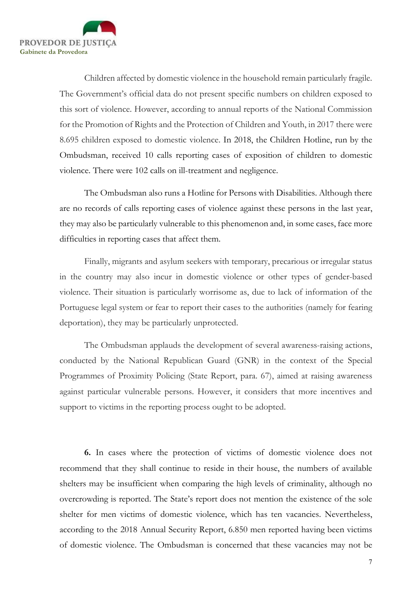

Children affected by domestic violence in the household remain particularly fragile. The Government's official data do not present specific numbers on children exposed to this sort of violence. However, according to annual reports of the National Commission for the Promotion of Rights and the Protection of Children and Youth, in 2017 there were 8.695 children exposed to domestic violence. In 2018, the Children Hotline, run by the Ombudsman, received 10 calls reporting cases of exposition of children to domestic violence. There were 102 calls on ill-treatment and negligence.

The Ombudsman also runs a Hotline for Persons with Disabilities. Although there are no records of calls reporting cases of violence against these persons in the last year, they may also be particularly vulnerable to this phenomenon and, in some cases, face more difficulties in reporting cases that affect them.

Finally, migrants and asylum seekers with temporary, precarious or irregular status in the country may also incur in domestic violence or other types of gender-based violence. Their situation is particularly worrisome as, due to lack of information of the Portuguese legal system or fear to report their cases to the authorities (namely for fearing deportation), they may be particularly unprotected.

The Ombudsman applauds the development of several awareness-raising actions, conducted by the National Republican Guard (GNR) in the context of the Special Programmes of Proximity Policing (State Report, para. 67), aimed at raising awareness against particular vulnerable persons. However, it considers that more incentives and support to victims in the reporting process ought to be adopted.

6. In cases where the protection of victims of domestic violence does not recommend that they shall continue to reside in their house, the numbers of available shelters may be insufficient when comparing the high levels of criminality, although no overcrowding is reported. The State's report does not mention the existence of the sole shelter for men victims of domestic violence, which has ten vacancies. Nevertheless, according to the 2018 Annual Security Report, 6.850 men reported having been victims of domestic violence. The Ombudsman is concerned that these vacancies may not be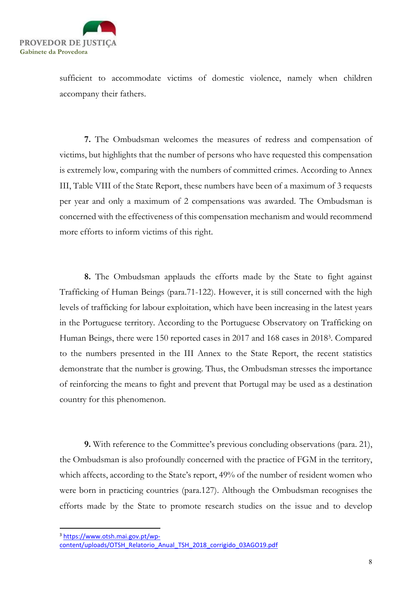

sufficient to accommodate victims of domestic violence, namely when children accompany their fathers.

7. The Ombudsman welcomes the measures of redress and compensation of victims, but highlights that the number of persons who have requested this compensation is extremely low, comparing with the numbers of committed crimes. According to Annex III, Table VIII of the State Report, these numbers have been of a maximum of 3 requests per year and only a maximum of 2 compensations was awarded. The Ombudsman is concerned with the effectiveness of this compensation mechanism and would recommend more efforts to inform victims of this right.

8. The Ombudsman applauds the efforts made by the State to fight against Trafficking of Human Beings (para.71-122). However, it is still concerned with the high levels of trafficking for labour exploitation, which have been increasing in the latest years in the Portuguese territory. According to the Portuguese Observatory on Trafficking on Human Beings, there were 150 reported cases in 2017 and 168 cases in 2018<sup>3</sup> . Compared to the numbers presented in the III Annex to the State Report, the recent statistics demonstrate that the number is growing. Thus, the Ombudsman stresses the importance of reinforcing the means to fight and prevent that Portugal may be used as a destination country for this phenomenon.

9. With reference to the Committee's previous concluding observations (para. 21), the Ombudsman is also profoundly concerned with the practice of FGM in the territory, which affects, according to the State's report, 49% of the number of resident women who were born in practicing countries (para.127). Although the Ombudsman recognises the efforts made by the State to promote research studies on the issue and to develop

<sup>3</sup> https://www.otsh.mai.gov.pt/wp-

content/uploads/OTSH\_Relatorio\_Anual\_TSH\_2018\_corrigido\_03AGO19.pdf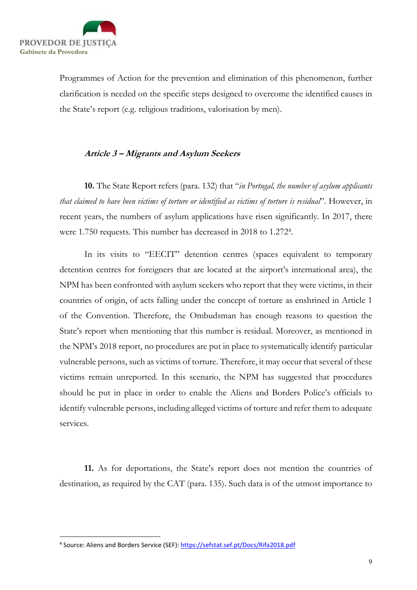

Programmes of Action for the prevention and elimination of this phenomenon, further clarification is needed on the specific steps designed to overcome the identified causes in the State's report (e.g. religious traditions, valorisation by men).

## Article 3 – Migrants and Asylum Seekers

**10.** The State Report refers (para. 132) that "in Portugal, the number of asylum applicants that claimed to have been victims of torture or identified as victims of torture is residual". However, in recent years, the numbers of asylum applications have risen significantly. In 2017, there were 1.750 requests. This number has decreased in 2018 to 1.272<sup>4</sup> .

In its visits to "EECIT" detention centres (spaces equivalent to temporary detention centres for foreigners that are located at the airport's international area), the NPM has been confronted with asylum seekers who report that they were victims, in their countries of origin, of acts falling under the concept of torture as enshrined in Article 1 of the Convention. Therefore, the Ombudsman has enough reasons to question the State's report when mentioning that this number is residual. Moreover, as mentioned in the NPM's 2018 report, no procedures are put in place to systematically identify particular vulnerable persons, such as victims of torture. Therefore, it may occur that several of these victims remain unreported. In this scenario, the NPM has suggested that procedures should be put in place in order to enable the Aliens and Borders Police's officials to identify vulnerable persons, including alleged victims of torture and refer them to adequate services.

11. As for deportations, the State's report does not mention the countries of destination, as required by the CAT (para. 135). Such data is of the utmost importance to

<sup>&</sup>lt;sup>4</sup> Source: Aliens and Borders Service (SEF): https://sefstat.sef.pt/Docs/Rifa2018.pdf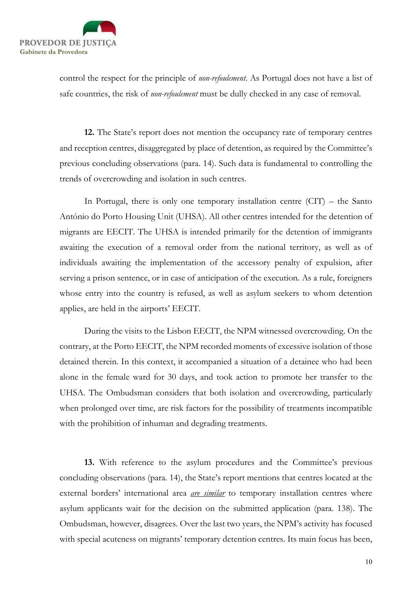

control the respect for the principle of *non-refoulement*. As Portugal does not have a list of safe countries, the risk of non-refoulement must be dully checked in any case of removal.

12. The State's report does not mention the occupancy rate of temporary centres and reception centres, disaggregated by place of detention, as required by the Committee's previous concluding observations (para. 14). Such data is fundamental to controlling the trends of overcrowding and isolation in such centres.

In Portugal, there is only one temporary installation centre  $(CTT)$  – the Santo António do Porto Housing Unit (UHSA). All other centres intended for the detention of migrants are EECIT. The UHSA is intended primarily for the detention of immigrants awaiting the execution of a removal order from the national territory, as well as of individuals awaiting the implementation of the accessory penalty of expulsion, after serving a prison sentence, or in case of anticipation of the execution. As a rule, foreigners whose entry into the country is refused, as well as asylum seekers to whom detention applies, are held in the airports' EECIT.

During the visits to the Lisbon EECIT, the NPM witnessed overcrowding. On the contrary, at the Porto EECIT, the NPM recorded moments of excessive isolation of those detained therein. In this context, it accompanied a situation of a detainee who had been alone in the female ward for 30 days, and took action to promote her transfer to the UHSA. The Ombudsman considers that both isolation and overcrowding, particularly when prolonged over time, are risk factors for the possibility of treatments incompatible with the prohibition of inhuman and degrading treatments.

13. With reference to the asylum procedures and the Committee's previous concluding observations (para. 14), the State's report mentions that centres located at the external borders' international area *are similar* to temporary installation centres where asylum applicants wait for the decision on the submitted application (para. 138). The Ombudsman, however, disagrees. Over the last two years, the NPM's activity has focused with special acuteness on migrants' temporary detention centres. Its main focus has been,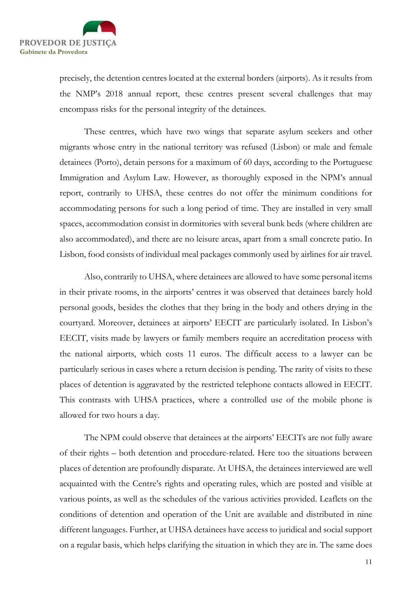

precisely, the detention centres located at the external borders (airports). As it results from the NMP's 2018 annual report, these centres present several challenges that may encompass risks for the personal integrity of the detainees.

These centres, which have two wings that separate asylum seekers and other migrants whose entry in the national territory was refused (Lisbon) or male and female detainees (Porto), detain persons for a maximum of 60 days, according to the Portuguese Immigration and Asylum Law. However, as thoroughly exposed in the NPM's annual report, contrarily to UHSA, these centres do not offer the minimum conditions for accommodating persons for such a long period of time. They are installed in very small spaces, accommodation consist in dormitories with several bunk beds (where children are also accommodated), and there are no leisure areas, apart from a small concrete patio. In Lisbon, food consists of individual meal packages commonly used by airlines for air travel.

Also, contrarily to UHSA, where detainees are allowed to have some personal items in their private rooms, in the airports' centres it was observed that detainees barely hold personal goods, besides the clothes that they bring in the body and others drying in the courtyard. Moreover, detainees at airports' EECIT are particularly isolated. In Lisbon's EECIT, visits made by lawyers or family members require an accreditation process with the national airports, which costs 11 euros. The difficult access to a lawyer can be particularly serious in cases where a return decision is pending. The rarity of visits to these places of detention is aggravated by the restricted telephone contacts allowed in EECIT. This contrasts with UHSA practices, where a controlled use of the mobile phone is allowed for two hours a day.

The NPM could observe that detainees at the airports' EECITs are not fully aware of their rights – both detention and procedure-related. Here too the situations between places of detention are profoundly disparate. At UHSA, the detainees interviewed are well acquainted with the Centre's rights and operating rules, which are posted and visible at various points, as well as the schedules of the various activities provided. Leaflets on the conditions of detention and operation of the Unit are available and distributed in nine different languages. Further, at UHSA detainees have access to juridical and social support on a regular basis, which helps clarifying the situation in which they are in. The same does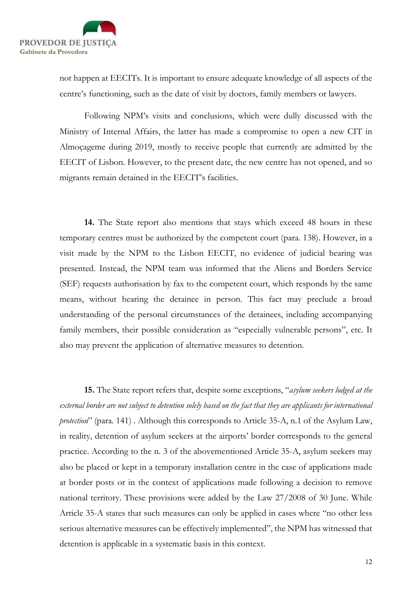

not happen at EECITs. It is important to ensure adequate knowledge of all aspects of the centre's functioning, such as the date of visit by doctors, family members or lawyers.

Following NPM's visits and conclusions, which were dully discussed with the Ministry of Internal Affairs, the latter has made a compromise to open a new CIT in Almoçageme during 2019, mostly to receive people that currently are admitted by the EECIT of Lisbon. However, to the present date, the new centre has not opened, and so migrants remain detained in the EECIT's facilities.

14. The State report also mentions that stays which exceed 48 hours in these temporary centres must be authorized by the competent court (para. 138). However, in a visit made by the NPM to the Lisbon EECIT, no evidence of judicial hearing was presented. Instead, the NPM team was informed that the Aliens and Borders Service (SEF) requests authorisation by fax to the competent court, which responds by the same means, without hearing the detainee in person. This fact may preclude a broad understanding of the personal circumstances of the detainees, including accompanying family members, their possible consideration as "especially vulnerable persons", etc. It also may prevent the application of alternative measures to detention.

15. The State report refers that, despite some exceptions, "asylum seekers lodged at the external border are not subject to detention solely based on the fact that they are applicants for international protection" (para. 141). Although this corresponds to Article 35-A, n.1 of the Asylum Law, in reality, detention of asylum seekers at the airports' border corresponds to the general practice. According to the n. 3 of the abovementioned Article 35-A, asylum seekers may also be placed or kept in a temporary installation centre in the case of applications made at border posts or in the context of applications made following a decision to remove national territory. These provisions were added by the Law 27/2008 of 30 June. While Article 35-A states that such measures can only be applied in cases where "no other less serious alternative measures can be effectively implemented", the NPM has witnessed that detention is applicable in a systematic basis in this context.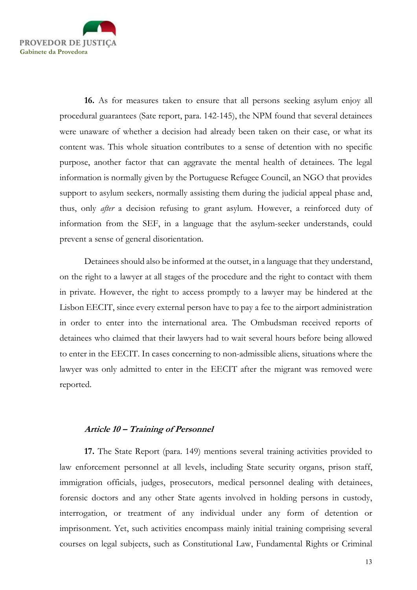

16. As for measures taken to ensure that all persons seeking asylum enjoy all procedural guarantees (Sate report, para. 142-145), the NPM found that several detainees were unaware of whether a decision had already been taken on their case, or what its content was. This whole situation contributes to a sense of detention with no specific purpose, another factor that can aggravate the mental health of detainees. The legal information is normally given by the Portuguese Refugee Council, an NGO that provides support to asylum seekers, normally assisting them during the judicial appeal phase and, thus, only *after* a decision refusing to grant asylum. However, a reinforced duty of information from the SEF, in a language that the asylum-seeker understands, could prevent a sense of general disorientation.

Detainees should also be informed at the outset, in a language that they understand, on the right to a lawyer at all stages of the procedure and the right to contact with them in private. However, the right to access promptly to a lawyer may be hindered at the Lisbon EECIT, since every external person have to pay a fee to the airport administration in order to enter into the international area. The Ombudsman received reports of detainees who claimed that their lawyers had to wait several hours before being allowed to enter in the EECIT. In cases concerning to non-admissible aliens, situations where the lawyer was only admitted to enter in the EECIT after the migrant was removed were reported.

### Article 10 – Training of Personnel

17. The State Report (para. 149) mentions several training activities provided to law enforcement personnel at all levels, including State security organs, prison staff, immigration officials, judges, prosecutors, medical personnel dealing with detainees, forensic doctors and any other State agents involved in holding persons in custody, interrogation, or treatment of any individual under any form of detention or imprisonment. Yet, such activities encompass mainly initial training comprising several courses on legal subjects, such as Constitutional Law, Fundamental Rights or Criminal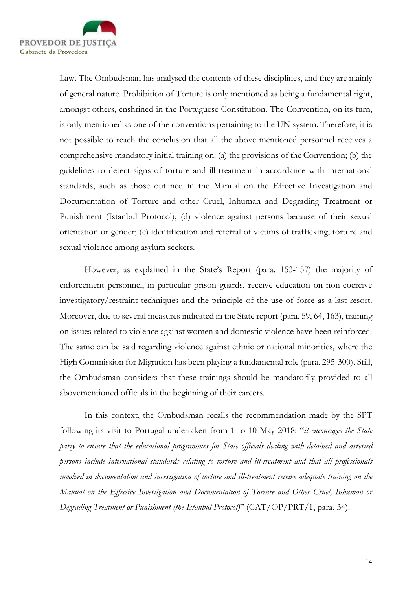

Law. The Ombudsman has analysed the contents of these disciplines, and they are mainly of general nature. Prohibition of Torture is only mentioned as being a fundamental right, amongst others, enshrined in the Portuguese Constitution. The Convention, on its turn, is only mentioned as one of the conventions pertaining to the UN system. Therefore, it is not possible to reach the conclusion that all the above mentioned personnel receives a comprehensive mandatory initial training on: (a) the provisions of the Convention; (b) the guidelines to detect signs of torture and ill-treatment in accordance with international standards, such as those outlined in the Manual on the Effective Investigation and Documentation of Torture and other Cruel, Inhuman and Degrading Treatment or Punishment (Istanbul Protocol); (d) violence against persons because of their sexual orientation or gender; (e) identification and referral of victims of trafficking, torture and sexual violence among asylum seekers.

However, as explained in the State's Report (para. 153-157) the majority of enforcement personnel, in particular prison guards, receive education on non-coercive investigatory/restraint techniques and the principle of the use of force as a last resort. Moreover, due to several measures indicated in the State report (para. 59, 64, 163), training on issues related to violence against women and domestic violence have been reinforced. The same can be said regarding violence against ethnic or national minorities, where the High Commission for Migration has been playing a fundamental role (para. 295-300). Still, the Ombudsman considers that these trainings should be mandatorily provided to all abovementioned officials in the beginning of their careers.

In this context, the Ombudsman recalls the recommendation made by the SPT following its visit to Portugal undertaken from 1 to 10 May 2018: "it encourages the State party to ensure that the educational programmes for State officials dealing with detained and arrested persons include international standards relating to torture and ill-treatment and that all professionals involved in documentation and investigation of torture and ill-treatment receive adequate training on the Manual on the Effective Investigation and Documentation of Torture and Other Cruel, Inhuman or Degrading Treatment or Punishment (the Istanbul Protocol)" (CAT/OP/PRT/1, para. 34).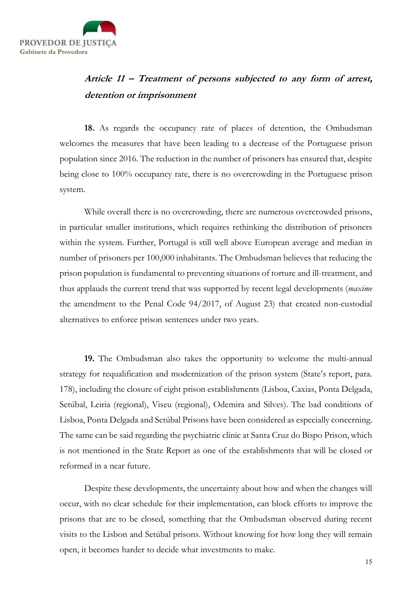

# Article 11 – Treatment of persons subjected to any form of arrest, detention or imprisonment

18. As regards the occupancy rate of places of detention, the Ombudsman welcomes the measures that have been leading to a decrease of the Portuguese prison population since 2016. The reduction in the number of prisoners has ensured that, despite being close to 100% occupancy rate, there is no overcrowding in the Portuguese prison system.

While overall there is no overcrowding, there are numerous overcrowded prisons, in particular smaller institutions, which requires rethinking the distribution of prisoners within the system. Further, Portugal is still well above European average and median in number of prisoners per 100,000 inhabitants. The Ombudsman believes that reducing the prison population is fundamental to preventing situations of torture and ill-treatment, and thus applauds the current trend that was supported by recent legal developments (*maxime* the amendment to the Penal Code 94/2017, of August 23) that created non-custodial alternatives to enforce prison sentences under two years.

19. The Ombudsman also takes the opportunity to welcome the multi-annual strategy for requalification and modernization of the prison system (State's report, para. 178), including the closure of eight prison establishments (Lisboa, Caxias, Ponta Delgada, Setúbal, Leiria (regional), Viseu (regional), Odemira and Silves). The bad conditions of Lisboa, Ponta Delgada and Setúbal Prisons have been considered as especially concerning. The same can be said regarding the psychiatric clinic at Santa Cruz do Bispo Prison, which is not mentioned in the State Report as one of the establishments that will be closed or reformed in a near future.

Despite these developments, the uncertainty about how and when the changes will occur, with no clear schedule for their implementation, can block efforts to improve the prisons that are to be closed, something that the Ombudsman observed during recent visits to the Lisbon and Setúbal prisons. Without knowing for how long they will remain open, it becomes harder to decide what investments to make.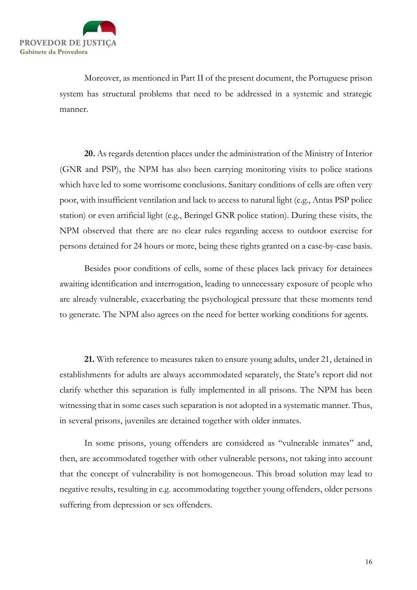

Moreover, as mentioned in Part II of the present document, the Portuguese prison system has structural problems that need to be addressed in a systemic and strategic manner.

20. As regards detention places under the administration of the Ministry of Interior (GNR and PSP), the NPM has also been carrying monitoring visits to police stations which have led to some worrisome conclusions. Sanitary conditions of cells are often very poor, with insufficient ventilation and lack to access to natural light (e.g., Antas PSP police station) or even artificial light (e.g., Beringel GNR police station). During these visits, the NPM observed that there are no clear rules regarding access to outdoor exercise for persons detained for 24 hours or more, being these rights granted on a case-by-case basis.

Besides poor conditions of cells, some of these places lack privacy for detainees awaiting identification and interrogation, leading to unnecessary exposure of people who are already vulnerable, exacerbating the psychological pressure that these moments tend to generate. The NPM also agrees on the need for better working conditions for agents.

21. With reference to measures taken to ensure young adults, under 21, detained in establishments for adults are always accommodated separately, the State's report did not clarify whether this separation is fully implemented in all prisons. The NPM has been witnessing that in some cases such separation is not adopted in a systematic manner. Thus, in several prisons, juveniles are detained together with older inmates.

In some prisons, young offenders are considered as "vulnerable inmates" and, then, are accommodated together with other vulnerable persons, not taking into account that the concept of vulnerability is not homogeneous. This broad solution may lead to negative results, resulting in e.g. accommodating together young offenders, older persons suffering from depression or sex offenders.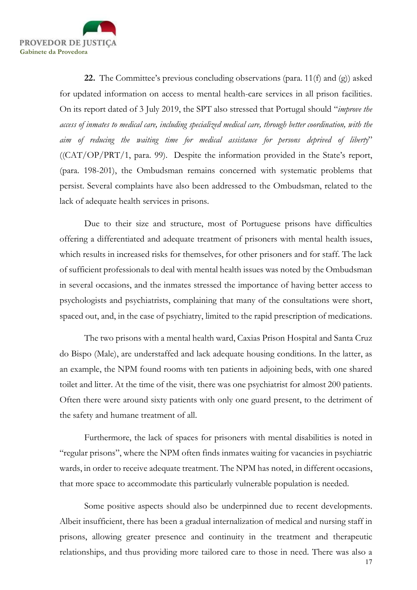

**22.** The Committee's previous concluding observations (para. 11(f) and (g)) asked for updated information on access to mental health-care services in all prison facilities. On its report dated of 3 July 2019, the SPT also stressed that Portugal should "improve the access of inmates to medical care, including specialized medical care, through better coordination, with the aim of reducing the waiting time for medical assistance for persons deprived of liberty" ((CAT/OP/PRT/1, para. 99). Despite the information provided in the State's report, (para. 198-201), the Ombudsman remains concerned with systematic problems that persist. Several complaints have also been addressed to the Ombudsman, related to the lack of adequate health services in prisons.

Due to their size and structure, most of Portuguese prisons have difficulties offering a differentiated and adequate treatment of prisoners with mental health issues, which results in increased risks for themselves, for other prisoners and for staff. The lack of sufficient professionals to deal with mental health issues was noted by the Ombudsman in several occasions, and the inmates stressed the importance of having better access to psychologists and psychiatrists, complaining that many of the consultations were short, spaced out, and, in the case of psychiatry, limited to the rapid prescription of medications.

The two prisons with a mental health ward, Caxias Prison Hospital and Santa Cruz do Bispo (Male), are understaffed and lack adequate housing conditions. In the latter, as an example, the NPM found rooms with ten patients in adjoining beds, with one shared toilet and litter. At the time of the visit, there was one psychiatrist for almost 200 patients. Often there were around sixty patients with only one guard present, to the detriment of the safety and humane treatment of all.

Furthermore, the lack of spaces for prisoners with mental disabilities is noted in "regular prisons", where the NPM often finds inmates waiting for vacancies in psychiatric wards, in order to receive adequate treatment. The NPM has noted, in different occasions, that more space to accommodate this particularly vulnerable population is needed.

Some positive aspects should also be underpinned due to recent developments. Albeit insufficient, there has been a gradual internalization of medical and nursing staff in prisons, allowing greater presence and continuity in the treatment and therapeutic relationships, and thus providing more tailored care to those in need. There was also a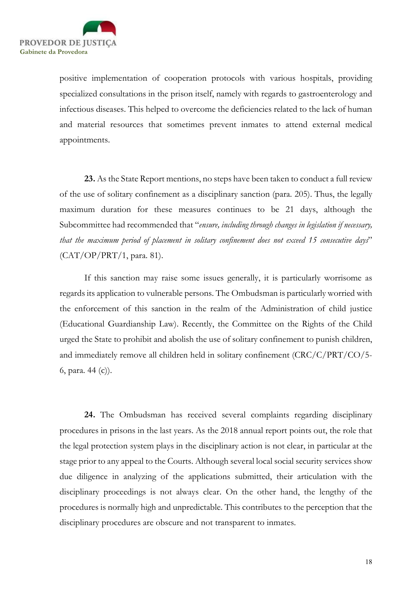

positive implementation of cooperation protocols with various hospitals, providing specialized consultations in the prison itself, namely with regards to gastroenterology and infectious diseases. This helped to overcome the deficiencies related to the lack of human and material resources that sometimes prevent inmates to attend external medical appointments.

23. As the State Report mentions, no steps have been taken to conduct a full review of the use of solitary confinement as a disciplinary sanction (para. 205). Thus, the legally maximum duration for these measures continues to be 21 days, although the Subcommittee had recommended that "ensure, including through changes in legislation if necessary, that the maximum period of placement in solitary confinement does not exceed 15 consecutive days" (CAT/OP/PRT/1, para. 81).

If this sanction may raise some issues generally, it is particularly worrisome as regards its application to vulnerable persons. The Ombudsman is particularly worried with the enforcement of this sanction in the realm of the Administration of child justice (Educational Guardianship Law). Recently, the Committee on the Rights of the Child urged the State to prohibit and abolish the use of solitary confinement to punish children, and immediately remove all children held in solitary confinement (CRC/C/PRT/CO/5- 6, para. 44 (c)).

24. The Ombudsman has received several complaints regarding disciplinary procedures in prisons in the last years. As the 2018 annual report points out, the role that the legal protection system plays in the disciplinary action is not clear, in particular at the stage prior to any appeal to the Courts. Although several local social security services show due diligence in analyzing of the applications submitted, their articulation with the disciplinary proceedings is not always clear. On the other hand, the lengthy of the procedures is normally high and unpredictable. This contributes to the perception that the disciplinary procedures are obscure and not transparent to inmates.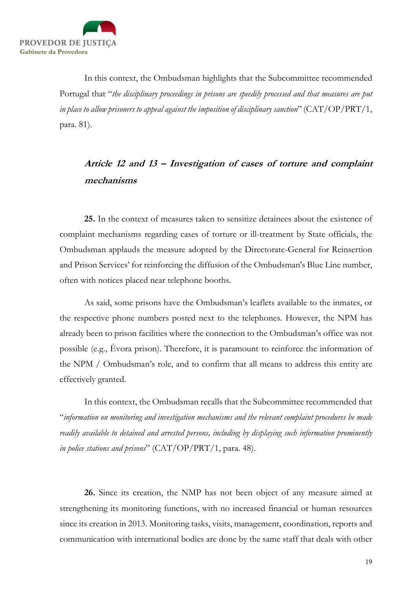

In this context, the Ombudsman highlights that the Subcommittee recommended Portugal that "the disciplinary proceedings in prisons are speedily processed and that measures are put in place to allow prisoners to appeal against the imposition of disciplinary sanction" ( $\rm CAT/OP/PRT/1,$ para. 81).

# Article 12 and 13 – Investigation of cases of torture and complaint mechanisms

25. In the context of measures taken to sensitize detainees about the existence of complaint mechanisms regarding cases of torture or ill-treatment by State officials, the Ombudsman applauds the measure adopted by the Directorate-General for Reinsertion and Prison Services' for reinforcing the diffusion of the Ombudsman's Blue Line number, often with notices placed near telephone booths.

As said, some prisons have the Ombudsman's leaflets available to the inmates, or the respective phone numbers posted next to the telephones. However, the NPM has already been to prison facilities where the connection to the Ombudsman's office was not possible (e.g., Évora prison). Therefore, it is paramount to reinforce the information of the NPM / Ombudsman's role, and to confirm that all means to address this entity are effectively granted.

In this context, the Ombudsman recalls that the Subcommittee recommended that "information on monitoring and investigation mechanisms and the relevant complaint procedures be made readily available to detained and arrested persons, including by displaying such information prominently in police stations and prisons"  $(CAT/OP/PRT/1$ , para. 48).

26. Since its creation, the NMP has not been object of any measure aimed at strengthening its monitoring functions, with no increased financial or human resources since its creation in 2013. Monitoring tasks, visits, management, coordination, reports and communication with international bodies are done by the same staff that deals with other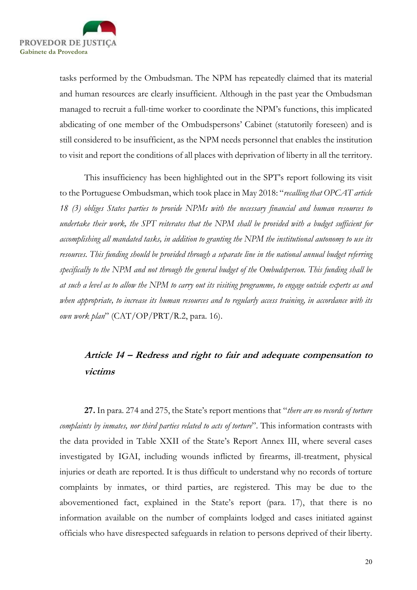

tasks performed by the Ombudsman. The NPM has repeatedly claimed that its material and human resources are clearly insufficient. Although in the past year the Ombudsman managed to recruit a full-time worker to coordinate the NPM's functions, this implicated abdicating of one member of the Ombudspersons' Cabinet (statutorily foreseen) and is still considered to be insufficient, as the NPM needs personnel that enables the institution to visit and report the conditions of all places with deprivation of liberty in all the territory.

This insufficiency has been highlighted out in the SPT's report following its visit to the Portuguese Ombudsman, which took place in May 2018: "recalling that OPCAT article 18 (3) obliges States parties to provide NPMs with the necessary financial and human resources to undertake their work, the SPT reiterates that the NPM shall be provided with a budget sufficient for accomplishing all mandated tasks, in addition to granting the NPM the institutional autonomy to use its resources. This funding should be provided through a separate line in the national annual budget referring specifically to the NPM and not through the general budget of the Ombudsperson. This funding shall be at such a level as to allow the NPM to carry out its visiting programme, to engage outside experts as and when appropriate, to increase its human resources and to regularly access training, in accordance with its own work plan"  $(CAT/OP/PRT/R.2$ , para. 16).

# Article 14 – Redress and right to fair and adequate compensation to victims

27. In para. 274 and 275, the State's report mentions that "there are no records of torture complaints by inmates, nor third parties related to acts of torture". This information contrasts with the data provided in Table XXII of the State's Report Annex III, where several cases investigated by IGAI, including wounds inflicted by firearms, ill-treatment, physical injuries or death are reported. It is thus difficult to understand why no records of torture complaints by inmates, or third parties, are registered. This may be due to the abovementioned fact, explained in the State's report (para. 17), that there is no information available on the number of complaints lodged and cases initiated against officials who have disrespected safeguards in relation to persons deprived of their liberty.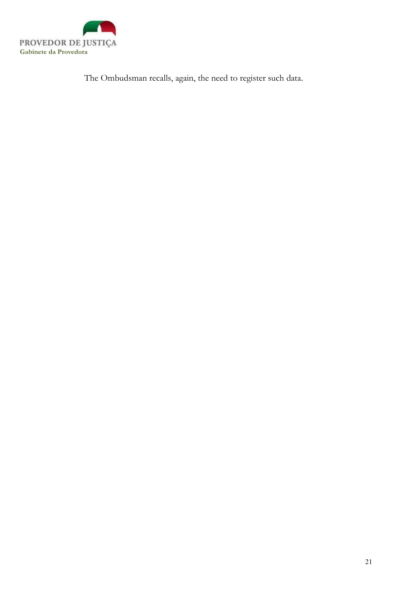

The Ombudsman recalls, again, the need to register such data.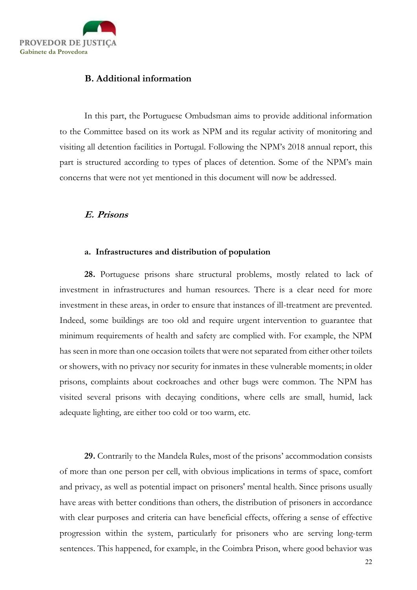

## B. Additional information

In this part, the Portuguese Ombudsman aims to provide additional information to the Committee based on its work as NPM and its regular activity of monitoring and visiting all detention facilities in Portugal. Following the NPM's 2018 annual report, this part is structured according to types of places of detention. Some of the NPM's main concerns that were not yet mentioned in this document will now be addressed.

#### E. Prisons

#### a. Infrastructures and distribution of population

28. Portuguese prisons share structural problems, mostly related to lack of investment in infrastructures and human resources. There is a clear need for more investment in these areas, in order to ensure that instances of ill-treatment are prevented. Indeed, some buildings are too old and require urgent intervention to guarantee that minimum requirements of health and safety are complied with. For example, the NPM has seen in more than one occasion toilets that were not separated from either other toilets or showers, with no privacy nor security for inmates in these vulnerable moments; in older prisons, complaints about cockroaches and other bugs were common. The NPM has visited several prisons with decaying conditions, where cells are small, humid, lack adequate lighting, are either too cold or too warm, etc.

29. Contrarily to the Mandela Rules, most of the prisons' accommodation consists of more than one person per cell, with obvious implications in terms of space, comfort and privacy, as well as potential impact on prisoners' mental health. Since prisons usually have areas with better conditions than others, the distribution of prisoners in accordance with clear purposes and criteria can have beneficial effects, offering a sense of effective progression within the system, particularly for prisoners who are serving long-term sentences. This happened, for example, in the Coimbra Prison, where good behavior was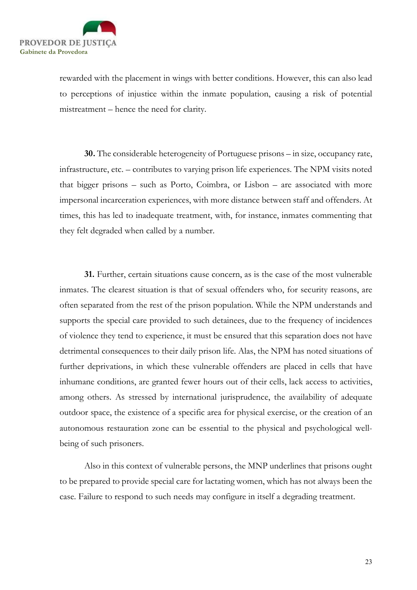

rewarded with the placement in wings with better conditions. However, this can also lead to perceptions of injustice within the inmate population, causing a risk of potential mistreatment – hence the need for clarity.

30. The considerable heterogeneity of Portuguese prisons – in size, occupancy rate, infrastructure, etc. – contributes to varying prison life experiences. The NPM visits noted that bigger prisons – such as Porto, Coimbra, or Lisbon – are associated with more impersonal incarceration experiences, with more distance between staff and offenders. At times, this has led to inadequate treatment, with, for instance, inmates commenting that they felt degraded when called by a number.

31. Further, certain situations cause concern, as is the case of the most vulnerable inmates. The clearest situation is that of sexual offenders who, for security reasons, are often separated from the rest of the prison population. While the NPM understands and supports the special care provided to such detainees, due to the frequency of incidences of violence they tend to experience, it must be ensured that this separation does not have detrimental consequences to their daily prison life. Alas, the NPM has noted situations of further deprivations, in which these vulnerable offenders are placed in cells that have inhumane conditions, are granted fewer hours out of their cells, lack access to activities, among others. As stressed by international jurisprudence, the availability of adequate outdoor space, the existence of a specific area for physical exercise, or the creation of an autonomous restauration zone can be essential to the physical and psychological wellbeing of such prisoners.

Also in this context of vulnerable persons, the MNP underlines that prisons ought to be prepared to provide special care for lactating women, which has not always been the case. Failure to respond to such needs may configure in itself a degrading treatment.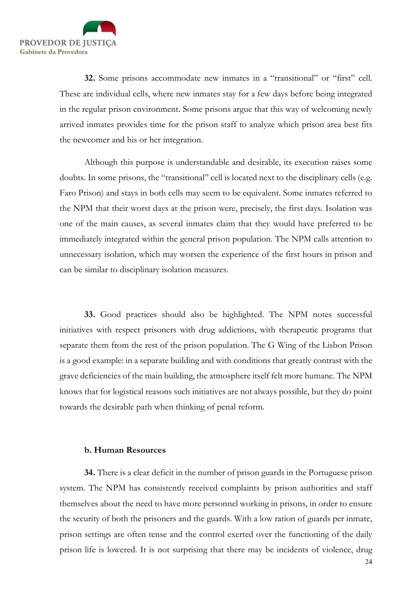

32. Some prisons accommodate new inmates in a "transitional" or "first" cell. These are individual cells, where new inmates stay for a few days before being integrated in the regular prison environment. Some prisons argue that this way of welcoming newly arrived inmates provides time for the prison staff to analyze which prison area best fits the newcomer and his or her integration.

Although this purpose is understandable and desirable, its execution raises some doubts. In some prisons, the "transitional" cell is located next to the disciplinary cells (e.g. Faro Prison) and stays in both cells may seem to be equivalent. Some inmates referred to the NPM that their worst days at the prison were, precisely, the first days. Isolation was one of the main causes, as several inmates claim that they would have preferred to be immediately integrated within the general prison population. The NPM calls attention to unnecessary isolation, which may worsen the experience of the first hours in prison and can be similar to disciplinary isolation measures.

33. Good practices should also be highlighted. The NPM notes successful initiatives with respect prisoners with drug addictions, with therapeutic programs that separate them from the rest of the prison population. The G Wing of the Lisbon Prison is a good example: in a separate building and with conditions that greatly contrast with the grave deficiencies of the main building, the atmosphere itself felt more humane. The NPM knows that for logistical reasons such initiatives are not always possible, but they do point towards the desirable path when thinking of penal reform.

#### b. Human Resources

34. There is a clear deficit in the number of prison guards in the Portuguese prison system. The NPM has consistently received complaints by prison authorities and staff themselves about the need to have more personnel working in prisons, in order to ensure the security of both the prisoners and the guards. With a low ration of guards per inmate, prison settings are often tense and the control exerted over the functioning of the daily prison life is lowered. It is not surprising that there may be incidents of violence, drug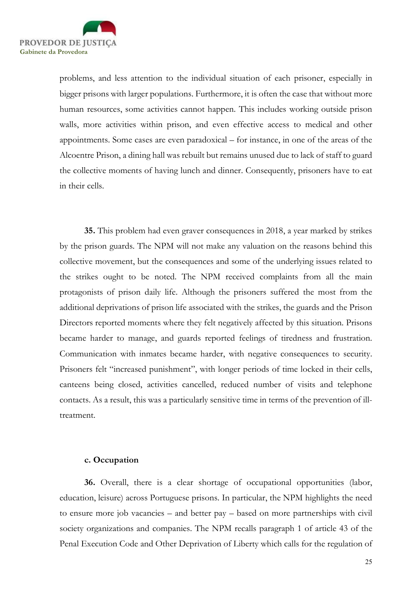

problems, and less attention to the individual situation of each prisoner, especially in bigger prisons with larger populations. Furthermore, it is often the case that without more human resources, some activities cannot happen. This includes working outside prison walls, more activities within prison, and even effective access to medical and other appointments. Some cases are even paradoxical – for instance, in one of the areas of the Alcoentre Prison, a dining hall was rebuilt but remains unused due to lack of staff to guard the collective moments of having lunch and dinner. Consequently, prisoners have to eat in their cells.

35. This problem had even graver consequences in 2018, a year marked by strikes by the prison guards. The NPM will not make any valuation on the reasons behind this collective movement, but the consequences and some of the underlying issues related to the strikes ought to be noted. The NPM received complaints from all the main protagonists of prison daily life. Although the prisoners suffered the most from the additional deprivations of prison life associated with the strikes, the guards and the Prison Directors reported moments where they felt negatively affected by this situation. Prisons became harder to manage, and guards reported feelings of tiredness and frustration. Communication with inmates became harder, with negative consequences to security. Prisoners felt "increased punishment", with longer periods of time locked in their cells, canteens being closed, activities cancelled, reduced number of visits and telephone contacts. As a result, this was a particularly sensitive time in terms of the prevention of illtreatment.

#### c. Occupation

36. Overall, there is a clear shortage of occupational opportunities (labor, education, leisure) across Portuguese prisons. In particular, the NPM highlights the need to ensure more job vacancies – and better pay – based on more partnerships with civil society organizations and companies. The NPM recalls paragraph 1 of article 43 of the Penal Execution Code and Other Deprivation of Liberty which calls for the regulation of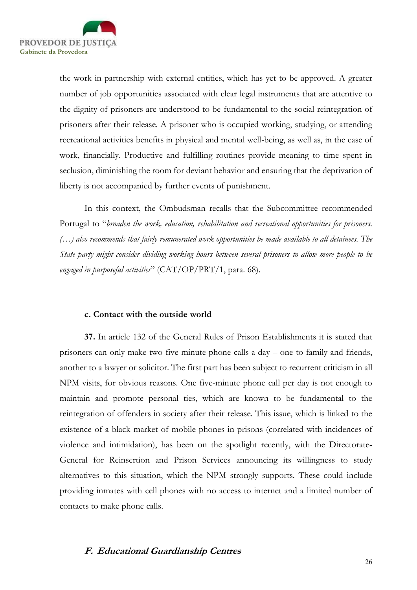

the work in partnership with external entities, which has yet to be approved. A greater number of job opportunities associated with clear legal instruments that are attentive to the dignity of prisoners are understood to be fundamental to the social reintegration of prisoners after their release. A prisoner who is occupied working, studying, or attending recreational activities benefits in physical and mental well-being, as well as, in the case of work, financially. Productive and fulfilling routines provide meaning to time spent in seclusion, diminishing the room for deviant behavior and ensuring that the deprivation of liberty is not accompanied by further events of punishment.

In this context, the Ombudsman recalls that the Subcommittee recommended Portugal to "broaden the work, education, rehabilitation and recreational opportunities for prisoners. (…) also recommends that fairly remunerated work opportunities be made available to all detainees. The State party might consider dividing working hours between several prisoners to allow more people to be engaged in purposeful activities" ( $CAT/OP/PT/1$ , para. 68).

### c. Contact with the outside world

37. In article 132 of the General Rules of Prison Establishments it is stated that prisoners can only make two five-minute phone calls a day – one to family and friends, another to a lawyer or solicitor. The first part has been subject to recurrent criticism in all NPM visits, for obvious reasons. One five-minute phone call per day is not enough to maintain and promote personal ties, which are known to be fundamental to the reintegration of offenders in society after their release. This issue, which is linked to the existence of a black market of mobile phones in prisons (correlated with incidences of violence and intimidation), has been on the spotlight recently, with the Directorate-General for Reinsertion and Prison Services announcing its willingness to study alternatives to this situation, which the NPM strongly supports. These could include providing inmates with cell phones with no access to internet and a limited number of contacts to make phone calls.

# F. Educational Guardianship Centres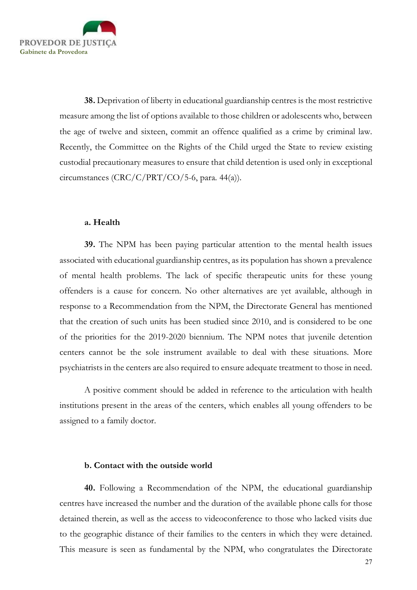

38. Deprivation of liberty in educational guardianship centres is the most restrictive measure among the list of options available to those children or adolescents who, between the age of twelve and sixteen, commit an offence qualified as a crime by criminal law. Recently, the Committee on the Rights of the Child urged the State to review existing custodial precautionary measures to ensure that child detention is used only in exceptional circumstances (CRC/C/PRT/CO/5-6, para. 44(a)).

#### a. Health

39. The NPM has been paying particular attention to the mental health issues associated with educational guardianship centres, as its population has shown a prevalence of mental health problems. The lack of specific therapeutic units for these young offenders is a cause for concern. No other alternatives are yet available, although in response to a Recommendation from the NPM, the Directorate General has mentioned that the creation of such units has been studied since 2010, and is considered to be one of the priorities for the 2019-2020 biennium. The NPM notes that juvenile detention centers cannot be the sole instrument available to deal with these situations. More psychiatrists in the centers are also required to ensure adequate treatment to those in need.

A positive comment should be added in reference to the articulation with health institutions present in the areas of the centers, which enables all young offenders to be assigned to a family doctor.

#### b. Contact with the outside world

40. Following a Recommendation of the NPM, the educational guardianship centres have increased the number and the duration of the available phone calls for those detained therein, as well as the access to videoconference to those who lacked visits due to the geographic distance of their families to the centers in which they were detained. This measure is seen as fundamental by the NPM, who congratulates the Directorate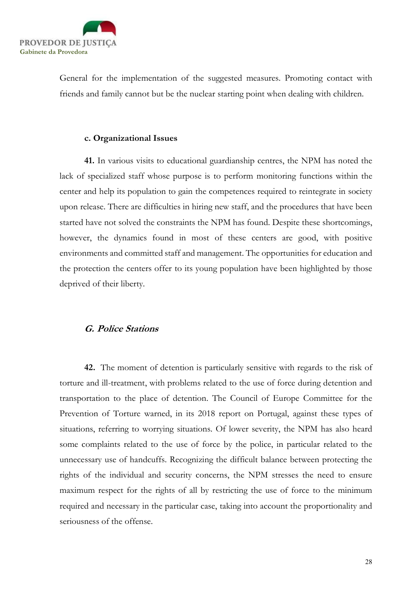

General for the implementation of the suggested measures. Promoting contact with friends and family cannot but be the nuclear starting point when dealing with children.

#### c. Organizational Issues

41. In various visits to educational guardianship centres, the NPM has noted the lack of specialized staff whose purpose is to perform monitoring functions within the center and help its population to gain the competences required to reintegrate in society upon release. There are difficulties in hiring new staff, and the procedures that have been started have not solved the constraints the NPM has found. Despite these shortcomings, however, the dynamics found in most of these centers are good, with positive environments and committed staff and management. The opportunities for education and the protection the centers offer to its young population have been highlighted by those deprived of their liberty.

### G. Police Stations

42. The moment of detention is particularly sensitive with regards to the risk of torture and ill-treatment, with problems related to the use of force during detention and transportation to the place of detention. The Council of Europe Committee for the Prevention of Torture warned, in its 2018 report on Portugal, against these types of situations, referring to worrying situations. Of lower severity, the NPM has also heard some complaints related to the use of force by the police, in particular related to the unnecessary use of handcuffs. Recognizing the difficult balance between protecting the rights of the individual and security concerns, the NPM stresses the need to ensure maximum respect for the rights of all by restricting the use of force to the minimum required and necessary in the particular case, taking into account the proportionality and seriousness of the offense.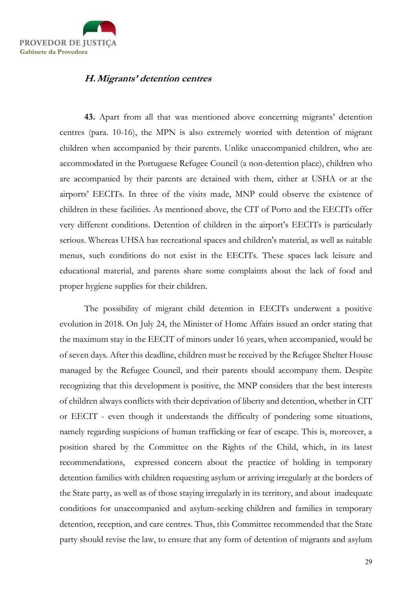

# H.Migrants' detention centres

43. Apart from all that was mentioned above concerning migrants' detention centres (para. 10-16), the MPN is also extremely worried with detention of migrant children when accompanied by their parents. Unlike unaccompanied children, who are accommodated in the Portuguese Refugee Council (a non-detention place), children who are accompanied by their parents are detained with them, either at USHA or at the airports' EECITs. In three of the visits made, MNP could observe the existence of children in these facilities. As mentioned above, the CIT of Porto and the EECITs offer very different conditions. Detention of children in the airport's EECITs is particularly serious. Whereas UHSA has recreational spaces and children's material, as well as suitable menus, such conditions do not exist in the EECITs. These spaces lack leisure and educational material, and parents share some complaints about the lack of food and proper hygiene supplies for their children.

The possibility of migrant child detention in EECITs underwent a positive evolution in 2018. On July 24, the Minister of Home Affairs issued an order stating that the maximum stay in the EECIT of minors under 16 years, when accompanied, would be of seven days. After this deadline, children must be received by the Refugee Shelter House managed by the Refugee Council, and their parents should accompany them. Despite recognizing that this development is positive, the MNP considers that the best interests of children always conflicts with their deprivation of liberty and detention, whether in CIT or EECIT - even though it understands the difficulty of pondering some situations, namely regarding suspicions of human trafficking or fear of escape. This is, moreover, a position shared by the Committee on the Rights of the Child, which, in its latest recommendations, expressed concern about the practice of holding in temporary detention families with children requesting asylum or arriving irregularly at the borders of the State party, as well as of those staying irregularly in its territory, and about inadequate conditions for unaccompanied and asylum-seeking children and families in temporary detention, reception, and care centres. Thus, this Committee recommended that the State party should revise the law, to ensure that any form of detention of migrants and asylum